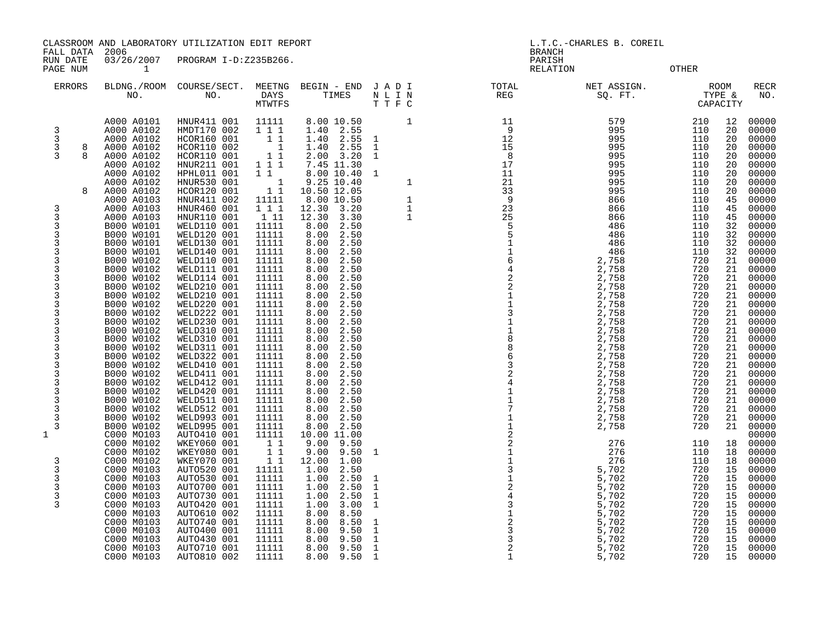CLASSROOM AND LABORATORY UTILIZATION EDIT REPORT AND THE SERVICE OF A L.T.C.-CHARLES B. COREIL

FALL DATA 2006 BRANCH

RUN DATE 03/26/2007 PROGRAM I-D:Z235B266.<br>PAGE NUM 1

RELATION OTHER

| <b>ERRORS</b>                                                                                                                                                                     | BLDNG./ROOM<br>NO.                                                                                                                                                                                                                                                                                                                                                                                                                                                                                                                                                                                                                                                             | COURSE/SECT.<br>NO.                                                                                                                                                                                                                                                                                                                                                                                                                                                                                                                                                                                                                                                                                                           | MEETNG<br>DAYS<br>MTWTFS                                                                                                                                                                                                                                                                                                                                                                                                                                                                                 | BEGIN - END<br>TIMES                                                                                                                                                                                                                                                                                                                                                                                                                                                                                                                                                                                                                                                                                                                                                | J A D I<br>$\begin{array}{ccccc} \text{N} & \text{L} & \text{I} & \text{N} \\ \text{T} & \text{T} & \text{F} & \text{C} \end{array}$                                                                            | TOTAL<br>REG                                                                                                                                                                                                                                                                                                                                                                                                         | NET ASSIGN.<br>SQ. FT.                                                                                                                                                                                                                                                                                                                                                               | <b>ROOM</b><br>TYPE &<br>CAPACITY                                                                                                                                                                                                                                                                                              |                                                                                                                                                                                                                                                                                  | <b>RECR</b><br>NO.                                                                                                                                                                                                                                                                                                                                                                                                                  |
|-----------------------------------------------------------------------------------------------------------------------------------------------------------------------------------|--------------------------------------------------------------------------------------------------------------------------------------------------------------------------------------------------------------------------------------------------------------------------------------------------------------------------------------------------------------------------------------------------------------------------------------------------------------------------------------------------------------------------------------------------------------------------------------------------------------------------------------------------------------------------------|-------------------------------------------------------------------------------------------------------------------------------------------------------------------------------------------------------------------------------------------------------------------------------------------------------------------------------------------------------------------------------------------------------------------------------------------------------------------------------------------------------------------------------------------------------------------------------------------------------------------------------------------------------------------------------------------------------------------------------|----------------------------------------------------------------------------------------------------------------------------------------------------------------------------------------------------------------------------------------------------------------------------------------------------------------------------------------------------------------------------------------------------------------------------------------------------------------------------------------------------------|---------------------------------------------------------------------------------------------------------------------------------------------------------------------------------------------------------------------------------------------------------------------------------------------------------------------------------------------------------------------------------------------------------------------------------------------------------------------------------------------------------------------------------------------------------------------------------------------------------------------------------------------------------------------------------------------------------------------------------------------------------------------|-----------------------------------------------------------------------------------------------------------------------------------------------------------------------------------------------------------------|----------------------------------------------------------------------------------------------------------------------------------------------------------------------------------------------------------------------------------------------------------------------------------------------------------------------------------------------------------------------------------------------------------------------|--------------------------------------------------------------------------------------------------------------------------------------------------------------------------------------------------------------------------------------------------------------------------------------------------------------------------------------------------------------------------------------|--------------------------------------------------------------------------------------------------------------------------------------------------------------------------------------------------------------------------------------------------------------------------------------------------------------------------------|----------------------------------------------------------------------------------------------------------------------------------------------------------------------------------------------------------------------------------------------------------------------------------|-------------------------------------------------------------------------------------------------------------------------------------------------------------------------------------------------------------------------------------------------------------------------------------------------------------------------------------------------------------------------------------------------------------------------------------|
| 3<br>3<br>3<br>8<br>3<br>$\mathsf{R}$<br>8<br>3<br>3<br>3<br>3<br>3<br>3<br>3<br>3<br>3<br>3<br>3<br>3<br>3<br>3<br>3<br>3<br>3<br>3<br>3<br>3<br>3<br>3<br>1<br>3<br>3<br>3<br>3 | A000 A0101<br>A000 A0102<br>A000 A0102<br>A000 A0102<br>A000 A0102<br>A000 A0102<br>A000 A0102<br>A000 A0102<br>A000 A0102<br>A000 A0103<br>A000 A0103<br>A000 A0103<br>B000 W0101<br>B000 W0101<br>B000 W0101<br>B000 W0101<br>B000 W0102<br>B000 W0102<br>B000 W0102<br>B000 W0102<br>B000 W0102<br>B000 W0102<br>B000 W0102<br>B000 W0102<br>B000 W0102<br>B000 W0102<br>B000 W0102<br>B000 W0102<br>B000 W0102<br>B000 W0102<br>B000 W0102<br>B000 W0102<br>B000 W0102<br>B000 W0102<br>B000 W0102<br>B000 W0102<br>C000 MO103<br>C000 M0102<br>C000 M0102<br>C000 M0102<br>C000 M0103<br>C000 M0103<br>C000 M0103<br>C000 M0103<br>C000 M0103<br>C000 M0103<br>C000 M0103 | HNUR411 001<br>HMDT170 002<br>HCOR160 001<br>HCOR110 002<br>HCOR110 001<br>HNUR211 001<br>HPHL011 001<br>HNUR530 001<br>HCOR120 001<br>HNUR411 002<br>HNUR460 001<br>HNUR110 001<br>WELD110 001<br>WELD120 001<br>WELD130 001<br>WELD140 001<br>WELD110 001<br>WELD111 001<br>WELD114 001<br>WELD210 001<br>WELD210 001<br>WELD220 001<br>WELD222 001<br>WELD230 001<br>WELD310 001<br>WELD310 001<br>WELD311 001<br>WELD322 001<br>WELD410 001<br>WELD411 001<br>WELD412 001<br>WELD420 001<br>WELD511 001<br>WELD512 001<br>WELD993 001<br>WELD995 001<br>AUTO410 001<br>WKEY060 001<br>WKEY080 001<br>WKEY070 001<br>AUTO520 001<br>AUTO530 001<br>AUTO700 001<br>AUTO730 001<br>AUTO420 001<br>AUTO610 002<br>AUTO740 001 | 11111<br>111<br>11<br>$\overline{1}$<br>11<br>$\begin{array}{ccc}\n1 & \overline{1} & \overline{1} \\ 1 & 1 & \n\end{array}$<br>$\overline{\phantom{a}}$<br>11<br>11111<br>111<br>1 11<br>11111<br>11111<br>11111<br>11111<br>11111<br>11111<br>11111<br>11111<br>11111<br>11111<br>11111<br>11111<br>11111<br>11111<br>11111<br>11111<br>11111<br>11111<br>11111<br>11111<br>11111<br>11111<br>11111<br>11111<br>11111<br>11<br>11<br>11<br>11111<br>11111<br>11111<br>11111<br>11111<br>11111<br>11111 | 8.00 10.50<br>2.55<br>1.40<br>2.55<br>1.40<br>2.55<br>1.40<br>3.20<br>2.00<br>7.45 11.30<br>8.00 10.40<br>9.25 10.40<br>10.50 12.05<br>8.00 10.50<br>3.20<br>12.30<br>3.30<br>12.30<br>8.00<br>2.50<br>2.50<br>8.00<br>8.00<br>2.50<br>8.00<br>2.50<br>8.00<br>2.50<br>2.50<br>8.00<br>8.00<br>2.50<br>8.00<br>2.50<br>8.00<br>2.50<br>8.00<br>2.50<br>8.00<br>2.50<br>8.00<br>2.50<br>8.00<br>2.50<br>2.50<br>8.00<br>2.50<br>8.00<br>8.00<br>2.50<br>2.50<br>8.00<br>8.00<br>2.50<br>8.00<br>2.50<br>8.00<br>2.50<br>8.00<br>2.50<br>2.50<br>8.00<br>2.50<br>8.00<br>2.50<br>8.00<br>10.00 11.00<br>9.00<br>9.50<br>9.00<br>9.50<br>1.00<br>12.00<br>1.00<br>2.50<br>1.00<br>2.50<br>1.00<br>2.50<br>2.50<br>1.00<br>1.00<br>3.00<br>8.00<br>8.50<br>8.00<br>8.50 | 1<br>$\mathbf{1}$<br>$\overline{1}$<br>$\mathbf{1}$<br>$\overline{1}$<br>$\mathbf{1}$<br>$\mathbf{1}$<br>$\mathbf{1}$<br>1<br>$\mathbf{1}$<br>$\mathbf{1}$<br>$\mathbf{1}$<br>$\mathbf{1}$<br>$\mathbf{1}$<br>1 | 11<br>- 9<br>$\frac{12}{15}$<br>15<br>8<br>17<br>11<br>21<br>33<br>9<br>23<br>25<br>5<br>5<br>$1164$<br>$42$<br>$\sqrt{2}$<br>$\begin{smallmatrix}1\\1\end{smallmatrix}$<br>$\mathbf{3}$<br>$\begin{array}{c} 1 \\ 1 \\ 8 \end{array}$<br>$\begin{array}{c} 8 \\ 6 \end{array}$<br>$\mathsf 3$<br>$_4^2$<br>$\mathbf 1$<br>$\begin{array}{c} 1 \\ 7 \\ 1 \\ 1 \end{array}$<br>$\overline{\mathbf{c}}$<br>21131243123 | 579<br>995<br>995<br>995<br>995<br>995<br>995<br>995<br>995<br>866<br>866<br>866<br>486<br>486<br>486<br>486<br>2,758<br>2,758<br>2,758<br>2,758<br>2,758<br>2,758<br>2,758<br>2,758<br>2,758<br>2,758<br>2,758<br>2,758<br>2,758<br>2,758<br>2,758<br>2,758<br>2,758<br>2,758<br>2,758<br>2,758<br>276<br>276<br>276<br>5,702<br>5,702<br>5,702<br>5,702<br>5,702<br>5,702<br>5,702 | 210<br>110<br>110<br>110<br>110<br>110<br>110<br>110<br>110<br>110<br>110<br>110<br>110<br>110<br>110<br>110<br>720<br>720<br>720<br>720<br>720<br>720<br>720<br>720<br>720<br>720<br>720<br>720<br>720<br>720<br>720<br>720<br>720<br>720<br>720<br>720<br>110<br>110<br>110<br>720<br>720<br>720<br>720<br>720<br>720<br>720 | 12<br>20<br>20<br>20<br>20<br>20<br>20<br>20<br>20<br>45<br>45<br>45<br>32<br>32<br>32<br>32<br>21<br>21<br>21<br>21<br>21<br>21<br>21<br>21<br>21<br>21<br>21<br>21<br>21<br>21<br>21<br>21<br>21<br>21<br>21<br>21<br>18<br>18<br>18<br>15<br>15<br>15<br>15<br>15<br>15<br>15 | 00000<br>00000<br>00000<br>00000<br>00000<br>00000<br>00000<br>00000<br>00000<br>00000<br>00000<br>00000<br>00000<br>00000<br>00000<br>00000<br>00000<br>00000<br>00000<br>00000<br>00000<br>00000<br>00000<br>00000<br>00000<br>00000<br>00000<br>00000<br>00000<br>00000<br>00000<br>00000<br>00000<br>00000<br>00000<br>00000<br>00000<br>00000<br>00000<br>00000<br>00000<br>00000<br>00000<br>00000<br>00000<br>00000<br>00000 |
|                                                                                                                                                                                   | C000 M0103<br>C000 M0103<br>C000 M0103<br>C000 M0103                                                                                                                                                                                                                                                                                                                                                                                                                                                                                                                                                                                                                           | AUTO400 001<br>AUTO430 001<br>AUTO710 001<br>AUTO810 002                                                                                                                                                                                                                                                                                                                                                                                                                                                                                                                                                                                                                                                                      | 11111<br>11111<br>11111<br>11111                                                                                                                                                                                                                                                                                                                                                                                                                                                                         | 8.00<br>9.50<br>8.00<br>9.50<br>9.50<br>8.00<br>9.50<br>8.00                                                                                                                                                                                                                                                                                                                                                                                                                                                                                                                                                                                                                                                                                                        | $\mathbf{1}$<br>$\mathbf{1}$<br>$\mathbf{1}$<br>$\mathbf{1}$                                                                                                                                                    | $\mathbf{3}$<br>$\overline{c}$                                                                                                                                                                                                                                                                                                                                                                                       | 5,702<br>5,702<br>5,702<br>5,702                                                                                                                                                                                                                                                                                                                                                     | 720<br>720<br>720<br>720                                                                                                                                                                                                                                                                                                       | 15<br>15<br>15<br>15                                                                                                                                                                                                                                                             | 00000<br>00000<br>00000<br>00000                                                                                                                                                                                                                                                                                                                                                                                                    |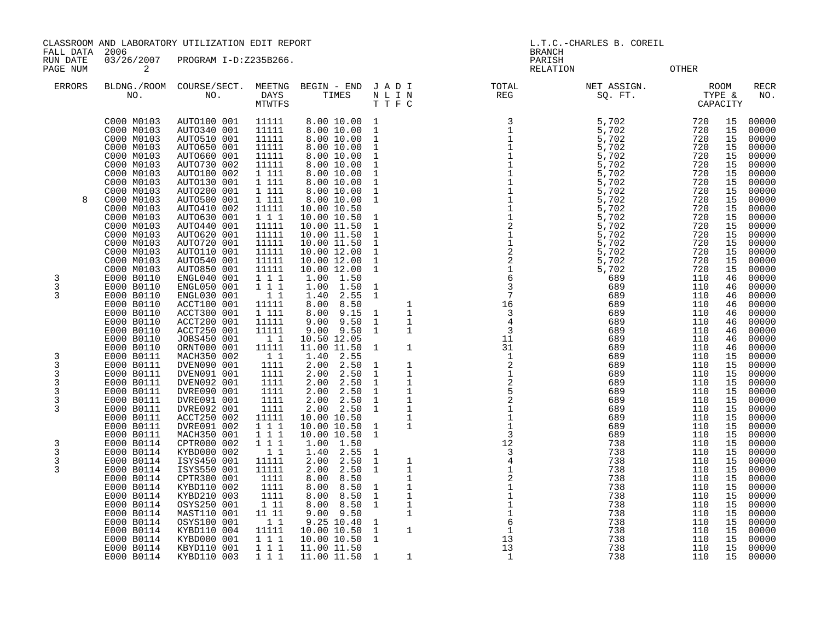CLASSROOM AND LABORATORY UTILIZATION EDIT REPORT

FALL DATA 2006 RUN DATE 03/26/2007 PROGRAM I-D:Z235B266

| הדעת וזטזו  | 00001007 | LIVOULLEU L<br>L D'ALJJDLVV. | ᄄᅎᅺᄾᆂᇦᇅ                  |
|-------------|----------|------------------------------|--------------------------|
| PAGE<br>NUM |          |                              | <b>RELATION</b><br>OTHER |

| DIT REPORT                                                                                                                                                                                                                                                                                                                                                                                                                                                                                                                                                                                                                                                              |                                                                                                                                                        | <b>BRANCH</b>                                                                                                                                                                                   | L.T.C.-CHARLES B. COREIL                                                                                                                                                                                                      |                                                                                                                                                                                                                                                                                                                                                             |                                                                                                                                                                                                                                                 |
|-------------------------------------------------------------------------------------------------------------------------------------------------------------------------------------------------------------------------------------------------------------------------------------------------------------------------------------------------------------------------------------------------------------------------------------------------------------------------------------------------------------------------------------------------------------------------------------------------------------------------------------------------------------------------|--------------------------------------------------------------------------------------------------------------------------------------------------------|-------------------------------------------------------------------------------------------------------------------------------------------------------------------------------------------------|-------------------------------------------------------------------------------------------------------------------------------------------------------------------------------------------------------------------------------|-------------------------------------------------------------------------------------------------------------------------------------------------------------------------------------------------------------------------------------------------------------------------------------------------------------------------------------------------------------|-------------------------------------------------------------------------------------------------------------------------------------------------------------------------------------------------------------------------------------------------|
| 35B266.                                                                                                                                                                                                                                                                                                                                                                                                                                                                                                                                                                                                                                                                 |                                                                                                                                                        | PARISH<br><b>RELATION</b>                                                                                                                                                                       |                                                                                                                                                                                                                               | <b>OTHER</b>                                                                                                                                                                                                                                                                                                                                                |                                                                                                                                                                                                                                                 |
| MEETNG<br>BEGIN - END<br>TIMES<br>DAYS<br>MTWTFS                                                                                                                                                                                                                                                                                                                                                                                                                                                                                                                                                                                                                        | JADI<br>NLIN<br>TTFC                                                                                                                                   | TOTAL<br><b>REG</b>                                                                                                                                                                             | NET ASSIGN.<br>SQ. FT.                                                                                                                                                                                                        | <b>ROOM</b><br>TYPE &<br>CAPACITY                                                                                                                                                                                                                                                                                                                           | <b>RECR</b><br>NO.                                                                                                                                                                                                                              |
| 11111<br>8.00 10.00<br>11111<br>8.00 10.00<br>8.00 10.00<br>11111<br>8.00 10.00<br>11111<br>8.00 10.00<br>11111<br>11111<br>8.00 10.00<br>1 111<br>8.00 10.00<br>1 111<br>8.00 10.00<br>1 111<br>8.00 10.00<br>1 111<br>8.00 10.00<br>11111<br>10.00 10.50<br>111<br>10.00 10.50<br>11111<br>10.00 11.50<br>11111<br>10.00 11.50<br>10.00 11.50<br>11111<br>11111<br>10.00 12.00<br>11111<br>10.00 12.00<br>11111<br>10.00 12.00<br>1 1 1<br>1.00<br>1.50<br>1 1 1<br>1.00<br>1.50<br>$1\quad1$<br>1.40<br>2.55<br>11111<br>8.00<br>8.50<br>8.00<br>1 111<br>9.15<br>11111<br>9.00<br>9.50<br>11111<br>9.00<br>9.50<br>10.50 12.05<br>$1\quad1$<br>11111<br>11.00 11.50 | 1<br>1<br>1<br>1<br>1<br>1<br>1<br>1<br>1<br>$\mathbf 1$<br>1<br>1<br>1<br>1<br>1<br>1<br>1<br>1<br>1<br>1<br>1<br>1<br>$1\,$<br>1<br>1<br>1<br>1<br>1 | 3<br>$\mathbf 1$<br>$\mathbf 1$<br>$\frac{1}{2}$<br>$\mathbf 1$<br>$\frac{1}{2}$<br>$\mathbf 1$<br>$\sqrt{6}$<br>$\overline{3}$<br>$\sqrt{ }$<br>16<br>3<br>$\,4$<br>$\overline{3}$<br>11<br>31 | 5,702<br>5,702<br>5,702<br>5,702<br>5,702<br>5,702<br>5,702<br>5,702<br>5,702<br>5,702<br>5,702<br>5,702<br>5,702<br>5,702<br>5,702<br>5,702<br>5,702<br>5,702<br>689<br>689<br>689<br>689<br>689<br>689<br>689<br>689<br>689 | 720<br>15<br>720<br>15<br>720<br>15<br>720<br>15<br>720<br>15<br>15<br>720<br>15<br>720<br>720<br>15<br>15<br>720<br>15<br>720<br>720<br>15<br>15<br>720<br>15<br>720<br>720<br>15<br>15<br>720<br>15<br>720<br>720<br>15<br>720<br>15<br>46<br>110<br>110<br>46<br>110<br>46<br>110<br>46<br>46<br>110<br>46<br>110<br>46<br>110<br>110<br>46<br>46<br>110 | 00000<br>00000<br>00000<br>00000<br>00000<br>00000<br>00000<br>00000<br>00000<br>00000<br>00000<br>00000<br>00000<br>00000<br>00000<br>00000<br>00000<br>00000<br>00000<br>00000<br>00000<br>00000<br>00000<br>00000<br>00000<br>00000<br>00000 |

| ERRORS | NO.                      | BLDNG./ROOM COURSE/SECT.<br>NO. | MEETNG<br><b>DAYS</b><br><b>MTWTFS</b> | BEGIN - END<br>TIMES         | JADI<br>NLIN<br>TTFC                        | TOTAL<br><b>REG</b>              | NET ASSIGN.<br>SQ. FT. | <b>ROOM</b><br>TYPE &<br>CAPACITY |                | <b>RECR</b><br>NO. |
|--------|--------------------------|---------------------------------|----------------------------------------|------------------------------|---------------------------------------------|----------------------------------|------------------------|-----------------------------------|----------------|--------------------|
|        | C000 M0103<br>C000 M0103 | AUTO100 001<br>AUTO340 001      | 11111<br>11111                         | 8.00 10.00<br>8.00 10.00     | 1<br>$\mathbf{1}$                           | 3<br>$\mathbf 1$<br>$\mathbf{1}$ | 5,702<br>5,702         | 720<br>720<br>720                 | 15<br>15<br>15 | 00000<br>00000     |
|        | C000 M0103<br>C000 M0103 | AUTO510 001<br>AUTO650 001      | 11111<br>11111                         | 8.00 10.00<br>8.00 10.00     | $\mathbf{1}$<br>$\mathbf{1}$                |                                  | 5,702<br>5,702         | 720                               | 15             | 00000<br>00000     |
|        | C000 M0103               | AUTO660 001                     | 11111                                  | 8.00 10.00                   | $\mathbf 1$                                 |                                  | 5,702                  | 720                               | 15             | 00000              |
|        | C000 M0103               | AUTO730 002                     | 11111                                  | 8.00 10.00                   | $\mathbf{1}$                                | $\mathbf{1}$                     | 5,702                  | 720                               | 15             | 00000              |
|        | C000 M0103               | AUTO100 002                     | 1 111                                  | 8.00 10.00                   | $\mathbf 1$                                 |                                  | 5,702                  | 720                               | 15             | 00000              |
|        | C000 M0103<br>C000 M0103 | AUTO130 001<br>AUTO200 001      | 1 111<br>1 111                         | 8.00 10.00<br>8.00 10.00     | $\mathbf 1$<br>$\mathbf{1}$                 | $\mathbf{1}$                     | 5,702<br>5,702         | 720<br>720                        | 15<br>15       | 00000<br>00000     |
| 8      | C000 M0103               | AUTO500 001                     | 1 111                                  | 8.00 10.00                   | $\mathbf{1}$                                | $\mathbf{1}$                     | 5,702                  | 720                               | 15             | 00000              |
|        | C000 M0103               | AUTO410 002                     | 11111                                  | 10.00 10.50                  |                                             |                                  | 5,702                  | 720                               | 15             | 00000              |
|        | C000 M0103               | AUTO630 001                     | 1 1 1                                  | 10.00 10.50                  | $\mathbf{1}$                                | $\mathbf 1$                      | 5,702                  | 720                               | 15             | 00000              |
|        | C000 M0103               | AUTO440 001                     | 11111                                  | 10.00 11.50                  | $\mathbf 1$                                 | $\overline{c}$<br>$\mathbf 1$    | 5,702                  | 720<br>720                        | 15<br>15       | 00000              |
|        | C000 M0103<br>C000 M0103 | AUTO620 001<br>AUTO720 001      | 11111<br>11111                         | 10.00 11.50<br>10.00 11.50   | $\mathbf{1}$<br>$\mathbf 1$                 | $\mathbf 1$                      | 5,702<br>5,702         | 720                               | 15             | 00000<br>00000     |
|        | C000 M0103               | AUTO110 001                     | 11111                                  | 10.00 12.00                  | 1                                           |                                  | 5,702                  | 720                               | 15             | 00000              |
|        | C000 M0103               | AUTO540 001                     | 11111                                  | 10.00 12.00                  | $\mathbf{1}$                                | $\frac{2}{2}$                    | 5,702                  | 720                               | 15             | 00000              |
|        | C000 M0103               | AUTO850 001                     | 11111                                  | 10.00 12.00                  | 1                                           | $\mathbf{1}$                     | 5,702                  | 720                               | 15             | 00000              |
| 3<br>3 | E000 B0110<br>E000 B0110 | ENGL040 001<br>ENGL050 001      | 1 1 1<br>111                           | 1.00<br>1.50<br>1.00<br>1.50 |                                             | $\sqrt{6}$<br>3                  | 689<br>689             | 110<br>110                        | 46<br>46       | 00000<br>00000     |
| 3      | E000 B0110               | ENGL030 001                     | 11                                     | 2.55<br>1.40                 | $\mathbf{1}$<br>1                           | 7                                | 689                    | 110                               | 46             | 00000              |
|        | E000 B0110               | ACCT100 001                     | 11111                                  | 8.00<br>8.50                 | 1                                           | 16                               | 689                    | 110                               | 46             | 00000              |
|        | E000 B0110               | ACCT300 001                     | 1 111                                  | 8.00<br>9.15                 | $\mathbf{1}$<br>1                           | 3                                | 689                    | 110                               | 46             | 00000              |
|        | E000 B0110               | ACCT200 001                     | 11111                                  | 9.00<br>9.50                 | 1<br>1                                      | 4                                | 689                    | 110                               | 46             | 00000              |
|        | E000 B0110<br>E000 B0110 | ACCT250 001<br>JOBS450 001      | 11111<br>11                            | 9.00<br>9.50<br>10.50 12.05  | $\mathbf{1}$<br>1                           | 3<br>11                          | 689<br>689             | 110<br>110                        | 46<br>46       | 00000<br>00000     |
|        | E000 B0110               | ORNT000 001                     | 11111                                  | 11.00 11.50                  | 1<br>1                                      | 31                               | 689                    | 110                               | 46             | 00000              |
| 3      | E000 B0111               | MACH350 002                     | 1 1                                    | 2.55<br>1.40                 |                                             | 1                                | 689                    | 110                               | 15             | 00000              |
| 3      | E000 B0111               | DVEN090 001                     | 1111                                   | 2.00<br>2.50                 | $\mathbf{1}$<br>1                           | $\overline{2}$                   | 689                    | 110                               | 15             | 00000              |
| 3      | E000 B0111               | DVEN091 001                     | 1111                                   | 2.50<br>2.00                 | $\mathbf{1}$<br>1                           | $\mathbf{1}$                     | 689                    | 110                               | 15             | 00000              |
| 3<br>3 | E000 B0111<br>E000 B0111 | DVEN092 001<br>DVRE090 001      | 1111<br>1111                           | 2.50<br>2.00<br>2.00<br>2.50 | 1<br>1<br>$\mathbf{1}$<br>1                 | 2<br>5                           | 689<br>689             | 110<br>110                        | 15<br>15       | 00000<br>00000     |
| 3      | E000 B0111               | DVRE091 001                     | 1111                                   | 2.00<br>2.50                 | 1<br>1                                      | 2                                | 689                    | 110                               | 15             | 00000              |
| 3      | E000 B0111               | DVRE092 001                     | 1111                                   | 2.50<br>2.00                 | $\mathbf{1}$<br>1                           |                                  | 689                    | 110                               | 15             | 00000              |
|        | E000 B0111               | ACCT250 002                     | 11111                                  | 10.00 10.50                  | $\mathbf 1$                                 | $\mathbf{1}$                     | 689                    | 110                               | 15             | 00000              |
|        | E000 B0111<br>E000 B0111 | DVRE091 002<br>MACH350 001      | 1 1 1<br>1 1 1                         | 10.00 10.50<br>10.00 10.50   | 1<br>1<br>$\mathbf{1}$                      | 3                                | 689<br>689             | 110<br>110                        | 15<br>15       | 00000<br>00000     |
| 3      | E000 B0114               | CPTR000 002                     | 1 1 1                                  | 1.50<br>1.00                 |                                             | 12                               | 738                    | 110                               | 15             | 00000              |
| 3      | E000 B0114               | KYBD000 002                     | $1\quad1$                              | 2.55<br>1.40                 | $\mathbf 1$                                 | 3                                | 738                    | 110                               | 15             | 00000              |
| 3      | E000 B0114               | ISYS450 001                     | 11111                                  | 2.00<br>2.50                 | $\mathbf{1}$<br>1                           |                                  | 738                    | 110                               | 15             | 00000              |
| 3      | E000 B0114               | ISYS550 001                     | 11111                                  | 2.00<br>2.50                 | 1<br>1                                      | 1                                | 738                    | 110                               | 15             | 00000              |
|        | E000 B0114<br>E000 B0114 | CPTR300 001<br>KYBD110 002      | 1111<br>1111                           | 8.00<br>8.50<br>8.00<br>8.50 | 1<br>1<br>1                                 | 2                                | 738<br>738             | 110<br>110                        | 15<br>15       | 00000<br>00000     |
|        | E000 B0114               | KYBD210 003                     | 1111                                   | 8.00<br>8.50                 | 1<br>1                                      | $\mathbf{1}$                     | 738                    | 110                               | 15             | 00000              |
|        | E000 B0114               | OSYS250 001                     | 1 11                                   | 8.00<br>8.50                 | 1<br>1                                      | $\mathbf{1}$                     | 738                    | 110                               | 15             | 00000              |
|        | E000 B0114               | MAST110 001                     | 11 11                                  | 9.50<br>9.00                 | 1                                           |                                  | 738                    | 110                               | 15             | 00000              |
|        | E000 B0114               | OSYS100 001                     | $1\quad1$                              | 9.25 10.40                   | $\mathbf{1}$                                | 6                                | 738                    | 110                               | 15             | 00000              |
|        | E000 B0114<br>E000 B0114 | KYBD110 004<br>KYBD000 001      | 11111<br>1 1 1                         | 10.00 10.50<br>10.00 10.50   | $\mathbf{1}$<br>$\mathbf 1$<br>$\mathbf{1}$ | 1<br>13                          | 738<br>738             | 110<br>110                        | 15<br>15       | 00000<br>00000     |
|        | E000 B0114               | KBYD110 001                     | 1 1 1                                  | 11.00 11.50                  |                                             | 13                               | 738                    | 110                               | 15             | 00000              |
|        | E000 B0114               | KYBD110 003                     | 1 1 1                                  | 11.00 11.50 1                | 1                                           | 1                                | 738                    | 110                               | 15             | 00000              |
|        |                          |                                 |                                        |                              |                                             |                                  |                        |                                   |                |                    |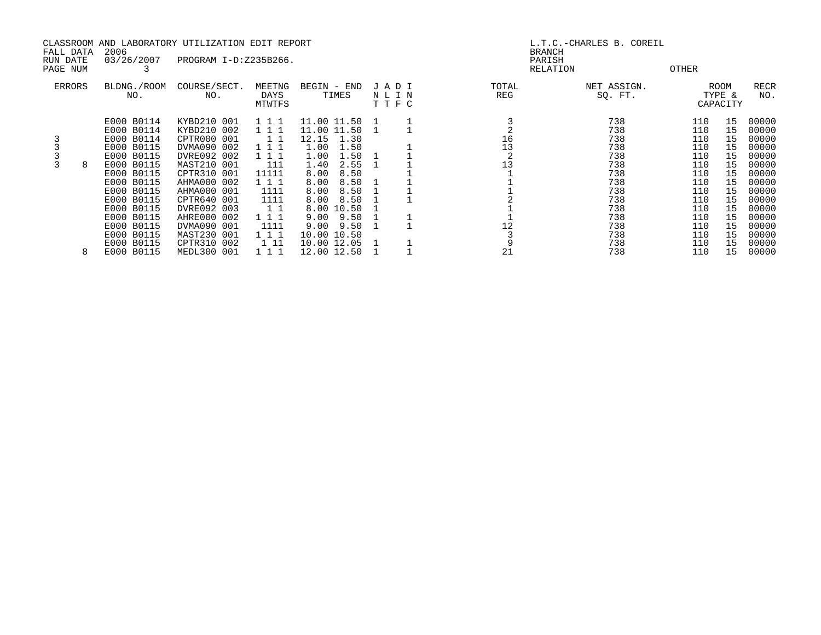|                       |   |                          | CLASSROOM AND LABORATORY UTILIZATION EDIT REPORT |                          |                      |     |                      |              | L.T.C.-CHARLES B. COREIL |            |                            |                    |
|-----------------------|---|--------------------------|--------------------------------------------------|--------------------------|----------------------|-----|----------------------|--------------|--------------------------|------------|----------------------------|--------------------|
| FALL DATA<br>RUN DATE |   | 2006<br>03/26/2007       | PROGRAM I-D:Z235B266.                            |                          |                      |     |                      |              | <b>BRANCH</b><br>PARISH  |            |                            |                    |
| PAGE NUM              |   |                          |                                                  |                          |                      |     |                      |              | RELATION                 | OTHER      |                            |                    |
| ERRORS                |   | BLDNG./ROOM<br>NO.       | COURSE/SECT.<br>NO.                              | MEETNG<br>DAYS<br>MTWTFS | BEGIN - END<br>TIMES |     | JADI<br>NLIN<br>TTFC | TOTAL<br>REG | NET ASSIGN.<br>SQ. FT.   |            | ROOM<br>TYPE &<br>CAPACITY | <b>RECR</b><br>NO. |
|                       |   | E000 B0114               | KYBD210 001                                      | 111                      | 11.00 11.50          | - 1 |                      |              | 738                      | 110        | 15                         | 00000              |
|                       |   | E000 B0114               | KYBD210 002                                      | 111                      | 11.00 11.50          |     |                      |              | 738                      | 110        | 15                         | 00000              |
|                       |   | E000 B0114               | CPTR000 001                                      | 11                       | 12.15<br>1.30        |     |                      | 16           | 738                      | 110        | 15                         | 00000              |
|                       |   | E000 B0115               | DVMA090 002                                      | 111                      | 1.00<br>1.50         |     |                      | 13           | 738                      | 110        | 15                         | 00000              |
|                       |   | E000 B0115               | DVRE092 002                                      | 111                      | 1.00<br>1.50<br>2.55 |     |                      | 13           | 738                      | 110        | 15                         | 00000              |
|                       |   | E000 B0115<br>E000 B0115 | MAST210 001<br>CPTR310 001                       | 111<br>11111             | 1.40<br>8.00<br>8.50 |     |                      |              | 738<br>738               | 110<br>110 | 15<br>15                   | 00000<br>00000     |
|                       |   | E000 B0115               | AHMA000 002                                      | 111                      | 8.00<br>8.50         |     |                      |              | 738                      | 110        | 15                         | 00000              |
|                       |   | E000 B0115               | AHMA000 001                                      | 1111                     | 8.00<br>8.50         |     |                      |              | 738                      | 110        | 15                         | 00000              |
|                       |   | E000 B0115               | CPTR640 001                                      | 1111                     | 8.00<br>8.50         |     |                      |              | 738                      | 110        | 15                         | 00000              |
|                       |   | E000 B0115               | DVRE092 003                                      | 11                       | 8.00 10.50           |     |                      |              | 738                      | 110        | 15                         | 00000              |
|                       |   | E000 B0115               | AHRE000 002                                      | 111                      | 9.00<br>9.50         |     |                      |              | 738                      | 110        | 15                         | 00000              |
|                       |   | E000 B0115               | DVMA090 001                                      | 1111                     | 9.00<br>9.50         |     |                      | 12           | 738                      | 110        | 15                         | 00000              |
|                       |   | E000 B0115               | MAST230 001                                      | 111                      | 10.00 10.50          |     |                      |              | 738                      | 110        | 15                         | 00000              |
|                       |   | E000 B0115               | CPTR310 002                                      | 1 11                     | 10.00 12.05          |     |                      |              | 738                      | 110        | 15                         | 00000              |
|                       | 8 | E000 B0115               | MEDL300 001                                      | 111                      | 12.00 12.50          |     |                      | 21           | 738                      | 110        | 15                         | 00000              |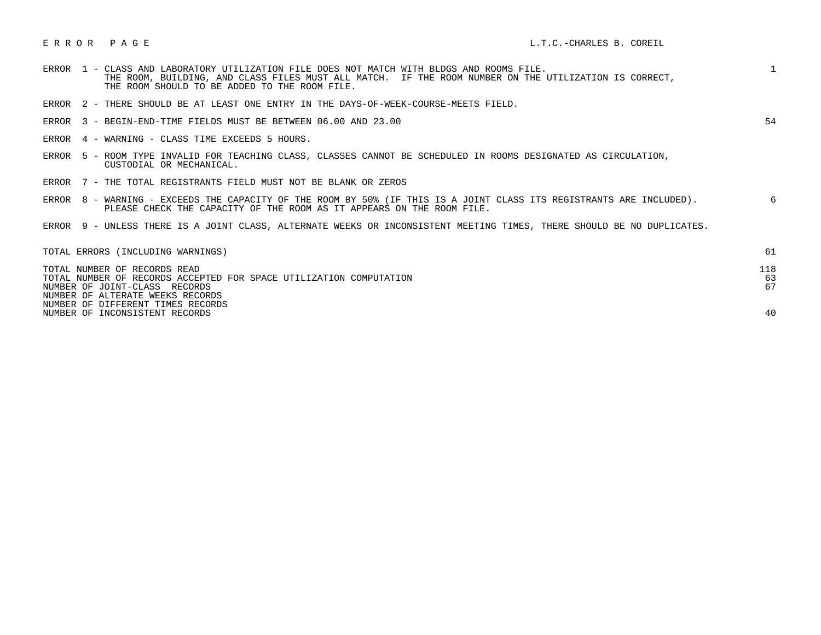|  | ERROR 1 - CLASS AND LABORATORY UTILIZATION FILE DOES NOT MATCH WITH BLDGS AND ROOMS FILE.<br>THE ROOM, BUILDING, AND CLASS FILES MUST ALL MATCH. IF THE ROOM NUMBER ON THE UTILIZATION IS CORRECT,<br>THE ROOM SHOULD TO BE ADDED TO THE ROOM FILE. |    |
|--|-----------------------------------------------------------------------------------------------------------------------------------------------------------------------------------------------------------------------------------------------------|----|
|  | ERROR 2 - THERE SHOULD BE AT LEAST ONE ENTRY IN THE DAYS-OF-WEEK-COURSE-MEETS FIELD.                                                                                                                                                                |    |
|  | ERROR 3 - BEGIN-END-TIME FIELDS MUST BE BETWEEN 06.00 AND 23.00                                                                                                                                                                                     | 54 |
|  | ERROR 4 - WARNING - CLASS TIME EXCEEDS 5 HOURS.                                                                                                                                                                                                     |    |
|  | ERROR 5 - ROOM TYPE INVALID FOR TEACHING CLASS, CLASSES CANNOT BE SCHEDULED IN ROOMS DESIGNATED AS CIRCULATION,<br>CUSTODIAL OR MECHANICAL.                                                                                                         |    |
|  | ERROR 7 - THE TOTAL REGISTRANTS FIELD MUST NOT BE BLANK OR ZEROS                                                                                                                                                                                    |    |
|  | ERROR 8 - WARNING - EXCEEDS THE CAPACITY OF THE ROOM BY 50% (IF THIS IS A JOINT CLASS ITS REGISTRANTS ARE INCLUDED).<br>PLEASE CHECK THE CAPACITY OF THE ROOM AS IT APPEARS ON THE ROOM FILE.                                                       | 6  |
|  | ERROR 9 - UNLESS THERE IS A JOINT CLASS, ALTERNATE WEEKS OR INCONSISTENT MEETING TIMES, THERE SHOULD BE NO DUPLICATES.                                                                                                                              |    |

| TOTAL ERRORS (INCLUDING WARNINGS)                                                                                                                                       | 61              |
|-------------------------------------------------------------------------------------------------------------------------------------------------------------------------|-----------------|
| TOTAL NUMBER OF RECORDS READ<br>TOTAL NUMBER OF RECORDS ACCEPTED FOR SPACE UTILIZATION COMPUTATION<br>NUMBER OF JOINT-CLASS RECORDS<br>NUMBER OF ALTERATE WEEKS RECORDS | 118<br>63<br>67 |
| NUMBER OF DIFFERENT TIMES RECORDS<br>NUMBER OF INCONSISTENT RECORDS                                                                                                     | 40              |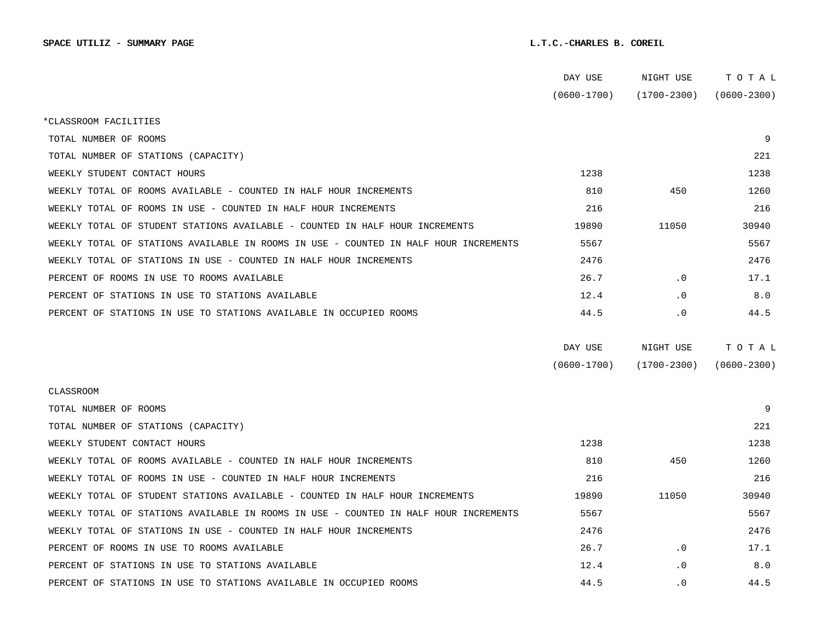|                                                                                      | DAY USE         | NIGHT USE       | TOTAL           |  |
|--------------------------------------------------------------------------------------|-----------------|-----------------|-----------------|--|
|                                                                                      | $(0600 - 1700)$ | $(1700 - 2300)$ | $(0600 - 2300)$ |  |
| *CLASSROOM FACILITIES                                                                |                 |                 |                 |  |
| TOTAL NUMBER OF ROOMS                                                                |                 |                 | 9               |  |
| TOTAL NUMBER OF STATIONS (CAPACITY)                                                  |                 |                 | 221             |  |
| WEEKLY STUDENT CONTACT HOURS                                                         | 1238            |                 | 1238            |  |
| WEEKLY TOTAL OF ROOMS AVAILABLE - COUNTED IN HALF HOUR INCREMENTS                    | 810             | 450             | 1260            |  |
| WEEKLY TOTAL OF ROOMS IN USE - COUNTED IN HALF HOUR INCREMENTS                       | 216             |                 | 216             |  |
| WEEKLY TOTAL OF STUDENT STATIONS AVAILABLE - COUNTED IN HALF HOUR INCREMENTS         | 19890           | 11050           | 30940           |  |
| WEEKLY TOTAL OF STATIONS AVAILABLE IN ROOMS IN USE - COUNTED IN HALF HOUR INCREMENTS | 5567            |                 | 5567            |  |
| WEEKLY TOTAL OF STATIONS IN USE - COUNTED IN HALF HOUR INCREMENTS                    | 2476            |                 | 2476            |  |
| PERCENT OF ROOMS IN USE TO ROOMS AVAILABLE                                           | 26.7            | $\cdot$ 0       | 17.1            |  |
| PERCENT OF STATIONS IN USE TO STATIONS AVAILABLE                                     | 12.4            | $\cdot$ 0       | 8.0             |  |
| PERCENT OF STATIONS IN USE TO STATIONS AVAILABLE IN OCCUPIED ROOMS                   | 44.5            | $\cdot$ 0       | 44.5            |  |
|                                                                                      |                 |                 |                 |  |
|                                                                                      | DAY USE         | NIGHT USE       | TOTAL           |  |
|                                                                                      | $(0600 - 1700)$ | $(1700 - 2300)$ | $(0600 - 2300)$ |  |
| <b>CLASSROOM</b>                                                                     |                 |                 |                 |  |
| TOTAL NUMBER OF ROOMS                                                                |                 |                 | 9               |  |
| TOTAL NUMBER OF STATIONS (CAPACITY)                                                  |                 |                 | 221             |  |
| WEEKLY STUDENT CONTACT HOURS                                                         | 1238            |                 | 1238            |  |
| WEEKLY TOTAL OF ROOMS AVAILABLE - COUNTED IN HALF HOUR INCREMENTS                    | 810             | 450             | 1260            |  |
| WEEKLY TOTAL OF ROOMS IN USE - COUNTED IN HALF HOUR INCREMENTS                       | 216             |                 | 216             |  |
| WEEKLY TOTAL OF STUDENT STATIONS AVAILABLE - COUNTED IN HALF HOUR INCREMENTS         | 19890           | 11050           | 30940           |  |
| WEEKLY TOTAL OF STATIONS AVAILABLE IN ROOMS IN USE - COUNTED IN HALF HOUR INCREMENTS | 5567            |                 | 5567            |  |
| WEEKLY TOTAL OF STATIONS IN USE - COUNTED IN HALF HOUR INCREMENTS                    | 2476            |                 | 2476            |  |
| PERCENT OF ROOMS IN USE TO ROOMS AVAILABLE                                           | 26.7            | $\cdot$ 0       | 17.1            |  |
| PERCENT OF STATIONS IN USE TO STATIONS AVAILABLE                                     | 12.4            | $\cdot$ 0       | 8.0             |  |
| PERCENT OF STATIONS IN USE TO STATIONS AVAILABLE IN OCCUPIED ROOMS                   | 44.5            | $\cdot$ 0       | 44.5            |  |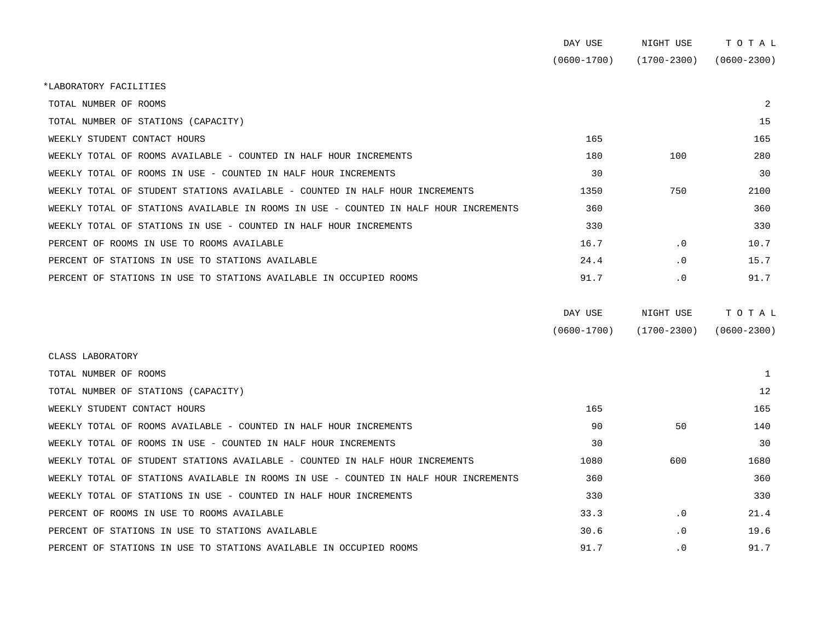|                                                                                      | DAY USE         | NIGHT USE       | TOTAL           |
|--------------------------------------------------------------------------------------|-----------------|-----------------|-----------------|
|                                                                                      | $(0600 - 1700)$ | $(1700 - 2300)$ | $(0600 - 2300)$ |
| *LABORATORY FACILITIES                                                               |                 |                 |                 |
| TOTAL NUMBER OF ROOMS                                                                |                 |                 | 2               |
| TOTAL NUMBER OF STATIONS (CAPACITY)                                                  |                 |                 | 15              |
| WEEKLY STUDENT CONTACT HOURS                                                         | 165             |                 | 165             |
| WEEKLY TOTAL OF ROOMS AVAILABLE - COUNTED IN HALF HOUR INCREMENTS                    | 180             | 100             | 280             |
| WEEKLY TOTAL OF ROOMS IN USE - COUNTED IN HALF HOUR INCREMENTS                       | 30              |                 | 30              |
| WEEKLY TOTAL OF STUDENT STATIONS AVAILABLE - COUNTED IN HALF HOUR INCREMENTS         | 1350            | 750             | 2100            |
| WEEKLY TOTAL OF STATIONS AVAILABLE IN ROOMS IN USE - COUNTED IN HALF HOUR INCREMENTS | 360             |                 | 360             |
| WEEKLY TOTAL OF STATIONS IN USE - COUNTED IN HALF HOUR INCREMENTS                    | 330             |                 | 330             |
| PERCENT OF ROOMS IN USE TO ROOMS AVAILABLE                                           | 16.7            | $\cdot$ 0       | 10.7            |
| PERCENT OF STATIONS IN USE TO STATIONS AVAILABLE                                     | 24.4            | $\cdot$ 0       | 15.7            |
| PERCENT OF STATIONS IN USE TO STATIONS AVAILABLE IN OCCUPIED ROOMS                   | 91.7            | $\cdot$ 0       | 91.7            |
|                                                                                      |                 |                 |                 |

| DAY USE         | NIGHT USE       | тотаь           |
|-----------------|-----------------|-----------------|
| $(0600 - 1700)$ | $(1700 - 2300)$ | $(0600 - 2300)$ |

| CLASS LABORATORY                                                                     |      |           |      |
|--------------------------------------------------------------------------------------|------|-----------|------|
| TOTAL NUMBER OF ROOMS                                                                |      |           |      |
| TOTAL NUMBER OF STATIONS (CAPACITY)                                                  |      |           | 12   |
| WEEKLY STUDENT CONTACT HOURS                                                         | 165  |           | 165  |
| WEEKLY TOTAL OF ROOMS AVAILABLE - COUNTED IN HALF HOUR INCREMENTS                    | 90   | 50        | 140  |
| WEEKLY TOTAL OF ROOMS IN USE - COUNTED IN HALF HOUR INCREMENTS                       | 30   |           | 30   |
| WEEKLY TOTAL OF STUDENT STATIONS AVAILABLE - COUNTED IN HALF HOUR INCREMENTS         | 1080 | 600       | 1680 |
| WEEKLY TOTAL OF STATIONS AVAILABLE IN ROOMS IN USE - COUNTED IN HALF HOUR INCREMENTS | 360  |           | 360  |
| WEEKLY TOTAL OF STATIONS IN USE - COUNTED IN HALF HOUR INCREMENTS                    | 330  |           | 330  |
| PERCENT OF ROOMS IN USE TO ROOMS AVAILABLE                                           | 33.3 | $\cdot$ 0 | 21.4 |
| PERCENT OF STATIONS IN USE TO STATIONS AVAILABLE                                     | 30.6 | $\cdot$ 0 | 19.6 |
| PERCENT OF STATIONS IN USE TO STATIONS AVAILABLE IN OCCUPIED ROOMS                   | 91.7 | $\cdot$ 0 | 91.7 |